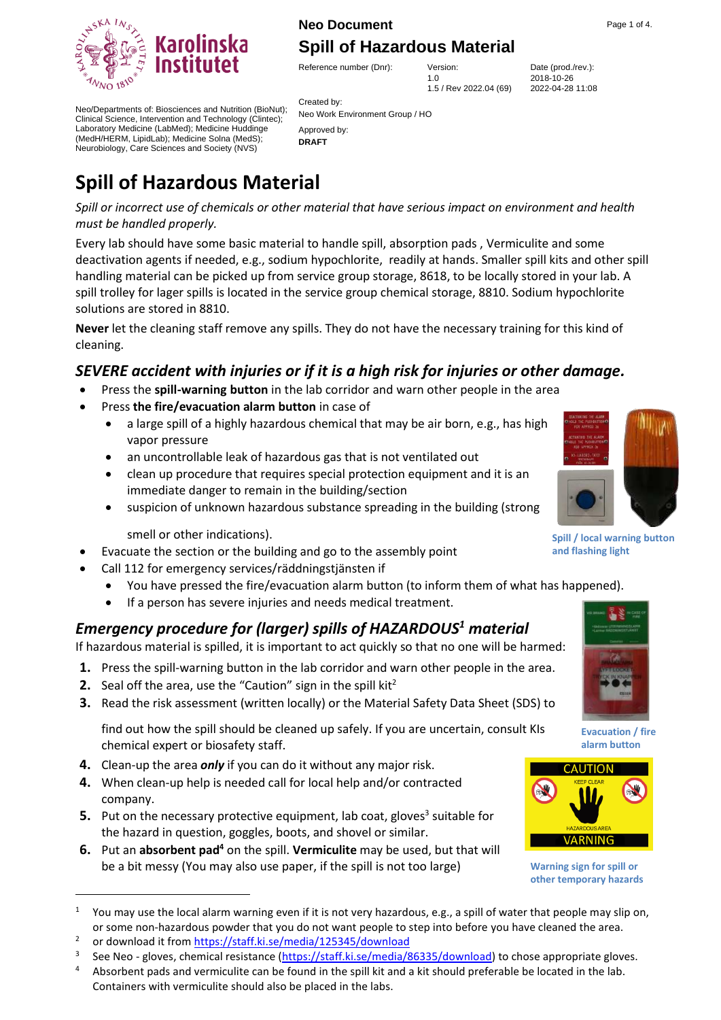# Karoli  $N_{NO}$  18

## **Neo Document** Page 1 of 4. **[Spill of Hazardous Material](#page-0-0)**

Reference number (Dnr): Version: Date (prod./rev.):

1.0 1.5 / Rev 2022.04 (69) 2018-10-26 2022-04-28 11:08

Created by: Neo Work Environment Group / HO Approved by: **DRAFT**

Neo/Departments of: Biosciences and Nutrition (BioNut); Clinical Science, Intervention and Technology (Clintec); Laboratory Medicine (LabMed); Medicine Huddinge (MedH/HERM, LipidLab); Medicine Solna (MedS); Neurobiology, Care Sciences and Society (NVS)

## <span id="page-0-0"></span>**Spill of Hazardous Material**

*Spill or incorrect use of chemicals or other material that have serious impact on environment and health must be handled properly.*

Every lab should have some basic material to handle spill, absorption pads , Vermiculite and some deactivation agents if needed, e.g., sodium hypochlorite, readily at hands. Smaller spill kits and other spill handling material can be picked up from service group storage, 8618, to be locally stored in your lab. A spill trolley for lager spills is located in the service group chemical storage, 8810. Sodium hypochlorite solutions are stored in 8810.

**Never** let the cleaning staff remove any spills. They do not have the necessary training for this kind of cleaning.

## *SEVERE accident with injuries or if it is a high risk for injuries or other damage.*

- Press the **spill-warning button** in the lab corridor and warn other people in the area
- Press **the fire/evacuation alarm button** in case of
	- a large spill of a highly hazardous chemical that may be air born, e.g., has high vapor pressure
	- an uncontrollable leak of hazardous gas that is not ventilated out
	- clean up procedure that requires special protection equipment and it is an immediate danger to remain in the building/section
	- suspicion of unknown hazardous substance spreading in the building (strong

smell or other indications).

- Evacuate the section or the building and go to the assembly point
	- Call 112 for emergency services/räddningstjänsten if
		- You have pressed the fire/evacuation alarm button (to inform them of what has happened).
		- If a person has severe injuries and needs medical treatment.

## *Emergency procedure for (larger) spills of HAZARDOUS<sup>1</sup> material*

If hazardous material is spilled, it is important to act quickly so that no one will be harmed:

- **1.** Press the spill-warning button in the lab corridor and warn other people in the area.
- **2.** Seal off the area, use the "Caution" sign in the spill kit<sup>2</sup>
- **3.** Read the risk assessment (written locally) or the Material Safety Data Sheet (SDS) to

find out how the spill should be cleaned up safely. If you are uncertain, consult KIs chemical expert or biosafety staff.

- **4.** Clean-up the area *only* if you can do it without any major risk.
- **4.** When clean-up help is needed call for local help and/or contracted company.
- **5.** Put on the necessary protective equipment, lab coat, gloves<sup>3</sup> suitable for the hazard in question, goggles, boots, and shovel or similar.
- **6.** Put an **absorbent pad<sup>4</sup>** on the spill. **Vermiculite** may be used, but that will be a bit messy (You may also use paper, if the spill is not too large)



**Spill / local warning button and flashing light**



**Evacuation / fire** 



**Warning sign for spill or other temporary hazards**

**alarm button**

<sup>&</sup>lt;sup>1</sup> You may use the local alarm warning even if it is not very hazardous, e.g., a spill of water that people may slip on, or some non-hazardous powder that you do not want people to step into before you have cleaned the area.

<sup>2</sup> or download it from <https://staff.ki.se/media/125345/download>

<sup>3</sup> See Neo - gloves, chemical resistance [\(https://staff.ki.se/media/86335/download\)](https://staff.ki.se/media/86335/download) to chose appropriate gloves.

<sup>&</sup>lt;sup>4</sup> Absorbent pads and vermiculite can be found in the spill kit and a kit should preferable be located in the lab. Containers with vermiculite should also be placed in the labs.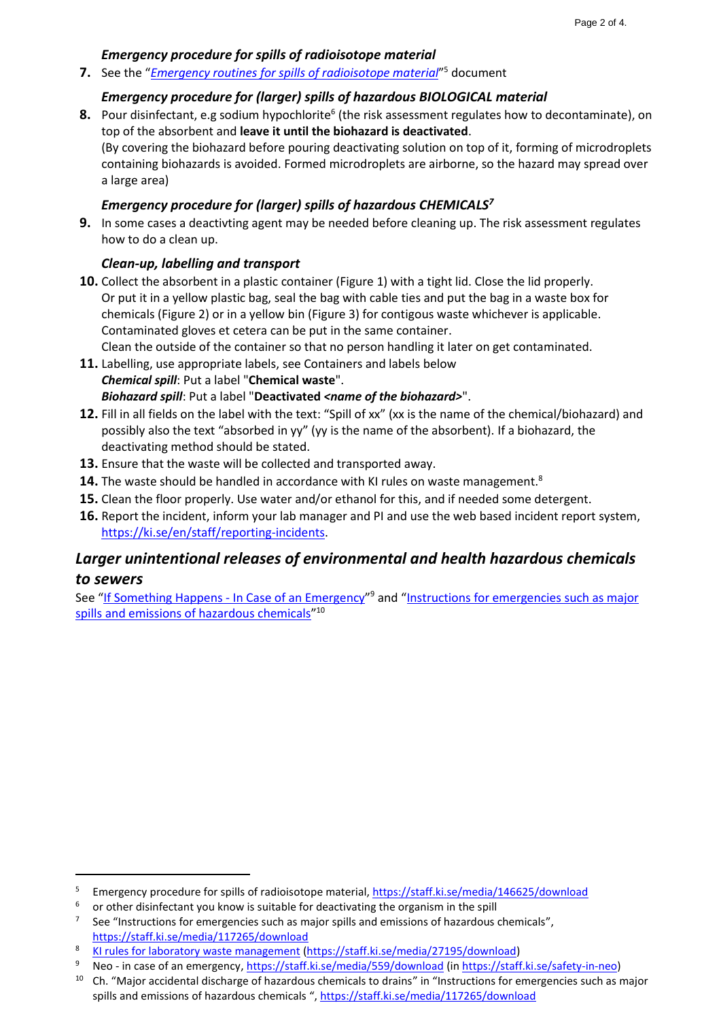#### *Emergency procedure for spills of radioisotope material*

**7.** See the "*[Emergency routines for spills of radioisotope material](https://staff.ki.se/media/146625/download)*" <sup>5</sup> document

#### *Emergency procedure for (larger) spills of hazardous BIOLOGICAL material*

8. Pour disinfectant, e.g sodium hypochlorite<sup>6</sup> (the risk assessment regulates how to decontaminate), on top of the absorbent and **leave it until the biohazard is deactivated**. (By covering the biohazard before pouring deactivating solution on top of it, forming of microdroplets containing biohazards is avoided. Formed microdroplets are airborne, so the hazard may spread over a large area)

#### *Emergency procedure for (larger) spills of hazardous CHEMICALS<sup>7</sup>*

**9.** In some cases a deactivting agent may be needed before cleaning up. The risk assessment regulates how to do a clean up.

#### *Clean-up, labelling and transport*

**10.** Collect the absorbent in a plastic container [\(Figure 1\)](#page-2-0) with a tight lid. Close the lid properly. Or put it in a yellow plastic bag, seal the bag with cable ties and put the bag in a waste box for chemicals [\(Figure 2\)](#page-2-1) or in a yellow bin [\(Figure](#page-2-2) 3) for contigous waste whichever is applicable. Contaminated gloves et cetera can be put in the same container.

Clean the outside of the container so that no person handling it later on get contaminated.

- **11.** Labelling, use appropriate labels, see Containers and labels below *Chemical spill*: Put a label "**Chemical waste**". *Biohazard spill*: Put a label "**Deactivated** *<name of the biohazard>*".
- **12.** Fill in all fields on the label with the text: "Spill of xx" (xx is the name of the chemical/biohazard) and possibly also the text "absorbed in yy" (yy is the name of the absorbent). If a biohazard, the deactivating method should be stated.
- **13.** Ensure that the waste will be collected and transported away.
- **14.** The waste should be handled in accordance with KI rules on waste management.<sup>8</sup>
- **15.** Clean the floor properly. Use water and/or ethanol for this, and if needed some detergent.
- **16.** Report the incident, inform your lab manager and PI and use the web based incident report system, [https://ki.se/en/staff/reporting-incidents.](https://ki.se/en/staff/reporting-incidents)

## *Larger unintentional releases of environmental and health hazardous chemicals to sewers*

See "If Something Happens - [In Case of an Emergency](https://staff.ki.se/media/559/download)"<sup>9</sup> and "Instructions for emergencies such as major [spills and emissions of hazardous chemicals](https://staff.ki.se/media/117265/download)"<sup>10</sup>

<sup>5</sup> Emergency procedure for spills of radioisotope material,  $\frac{https://statf.ki.se/media/146625/download}{\circ}$ 

or other disinfectant you know is suitable for deactivating the organism in the spill

<sup>7</sup> See "Instructions for emergencies such as major spills and emissions of hazardous chemicals", <https://staff.ki.se/media/117265/download>

<sup>8</sup> [KI rules for laboratory waste management](https://staff.ki.se/media/27195/download) [\(https://staff.ki.se/media/27195/download\)](https://staff.ki.se/media/27195/download)

<sup>9</sup> Neo - in case of an emergency[, https://staff.ki.se/media/559/download](https://staff.ki.se/media/559/download) (in [https://staff.ki.se/safety-in-neo\)](https://staff.ki.se/safety-in-neo)

<sup>&</sup>lt;sup>10</sup> Ch. "Major accidental discharge of hazardous chemicals to drains" in "Instructions for emergencies such as major spills and emissions of hazardous chemicals ", <https://staff.ki.se/media/117265/download>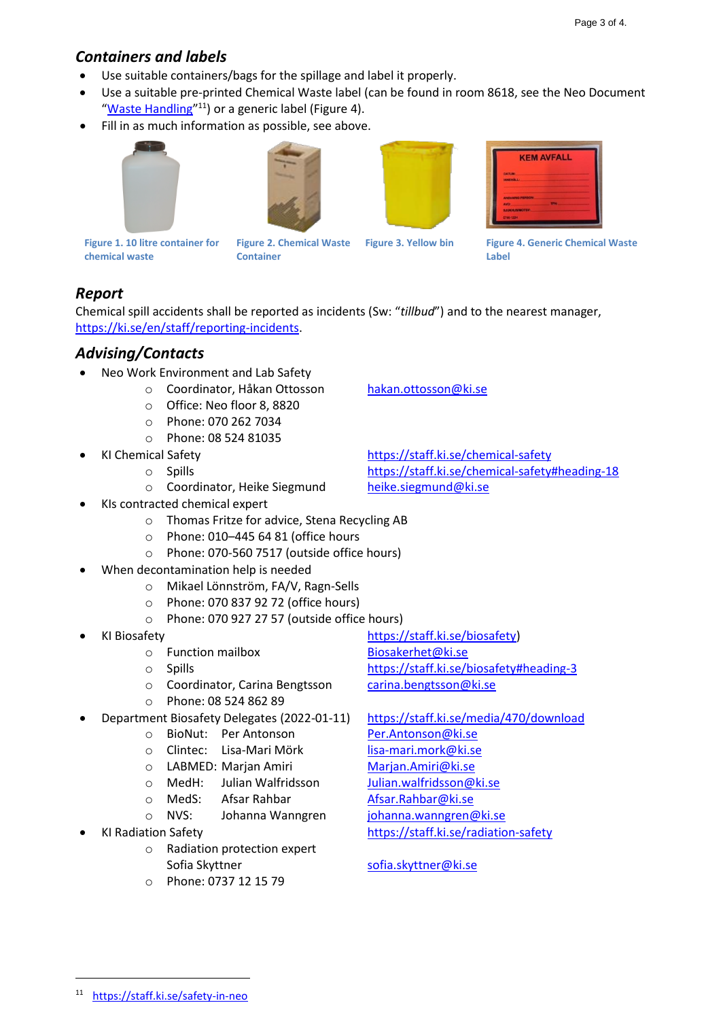## *Containers and labels*

- Use suitable containers/bags for the spillage and label it properly.
- Use a suitable pre-printed Chemical Waste label (can be found in room 8618, see the Neo Document "[Waste Handling](https://ki.se/sites/default/files/Neo_09_Waste_Handling.pdf)"<sup>11</sup>) or a generic label [\(Figure 4\)](#page-2-3).
- Fill in as much information as possible, see above.







<span id="page-2-3"></span>

<span id="page-2-0"></span>**Figure 1. 10 litre container for chemical waste**

<span id="page-2-1"></span>**Figure 2. Chemical Waste Container**

<span id="page-2-2"></span>**Figure 3. Yellow bin Figure 4. Generic Chemical Waste Label**

## *Report*

Chemical spill accidents shall be reported as incidents (Sw: "*tillbud*") and to the nearest manager, [https://ki.se/en/staff/reporting-incidents.](https://ki.se/en/staff/reporting-incidents)

## *Advising/Contacts*

- Neo Work Environment and Lab Safety
	- o Coordinator, Håkan Ottosson [hakan.ottosson@ki.se](mailto:hakan.ottosson@ki.se)
	- o Office: Neo floor 8, 8820
	- o Phone: 070 262 7034
	- o Phone: 08 524 81035
- -
	- o Coordinator, Heike Siegmund [heike.siegmund@ki.se](mailto:heike.siegmund@ki.se)
- KIs contracted chemical expert
	- o Thomas Fritze for advice, Stena Recycling AB
	- o Phone: 010–445 64 81 (office hours
	- o Phone: 070-560 7517 (outside office hours)
- When decontamination help is needed
	- o Mikael Lönnström, FA/V, Ragn-Sells
	- o Phone: 070 837 92 72 (office hours)
	- o Phone: 070 927 27 57 (outside office hours)
- KI Biosafety [https://staff.ki.se/biosafety\)](https://staff.ki.se/biosafety)
	- o Function mailbox [Biosakerhet@ki.se](mailto:Biosakerhet@ki.se)
	- o Spills <https://staff.ki.se/biosafety#heading-3>
	- o Coordinator, Carina Bengtsson [carina.bengtsson@ki.se](mailto:carina.bengtsson@ki.se)
		- o Phone: 08 524 862 89
- Department Biosafety Delegates (2022-01-11) <https://staff.ki.se/media/470/download>
	- o BioNut: Per Antonson [Per.Antonson@ki.se](mailto:Per.Antonson@ki.se)
		- o Clintec: Lisa-Mari Mörk [lisa-mari.mork@ki.se](mailto:lisa-mari.mork@ki.se)
		- o LABMED: Marjan Amiri [Marjan.Amiri@ki.se](mailto:Marjan.Amiri@ki.se)
		- o MedH: Julian Walfridsson [Julian.walfridsson@ki.se](mailto:Julian.walfridsson@ki.se)
		- o MedS: Afsar Rahbar **[Afsar.Rahbar@ki.se](mailto:Afsar.Rahbar@ki.se)**
		- o NVS: Johanna Wanngren [johanna.wanngren@ki.se](mailto:johanna.wanngren@ki.se)
- - o Radiation protection expert Sofia Skyttner [sofia.skyttner@ki.se](mailto:sofia.skyttner@ki.se)
	- o Phone: 0737 12 15 79

• KI Chemical Safety <https://staff.ki.se/chemical-safety> o Spills <https://staff.ki.se/chemical-safety#heading-18>

- 
- KI Radiation Safety <https://staff.ki.se/radiation-safety>

<sup>11</sup> <https://staff.ki.se/safety-in-neo>